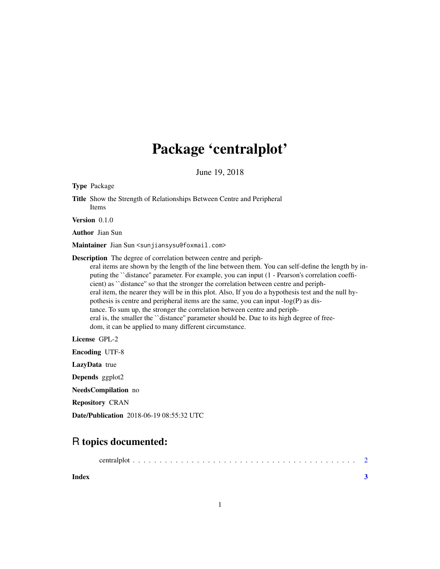## Package 'centralplot'

June 19, 2018

Type Package Title Show the Strength of Relationships Between Centre and Peripheral Items Version 0.1.0 Author Jian Sun Maintainer Jian Sun <sunjiansysu@foxmail.com> Description The degree of correlation between centre and peripheral items are shown by the length of the line between them. You can self-define the length by inputing the ``distance'' parameter. For example, you can input (1 - Pearson's correlation coefficient) as ``distance'' so that the stronger the correlation between centre and peripheral item, the nearer they will be in this plot. Also, If you do a hypothesis test and the null hypothesis is centre and peripheral items are the same, you can input  $-log(P)$  as distance. To sum up, the stronger the correlation between centre and peripheral is, the smaller the ``distance'' parameter should be. Due to its high degree of free-

dom, it can be applied to many different circumstance.

License GPL-2

Encoding UTF-8 LazyData true Depends ggplot2 NeedsCompilation no Repository CRAN Date/Publication 2018-06-19 08:55:32 UTC

### R topics documented:

|--|--|

**Index** [3](#page-2-0)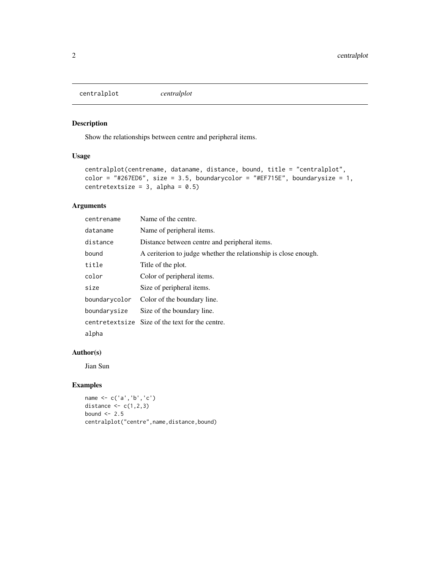<span id="page-1-0"></span>centralplot *centralplot*

#### Description

Show the relationships between centre and peripheral items.

#### Usage

```
centralplot(centrename, dataname, distance, bound, title = "centralplot",
color = "#267ED6", size = 3.5, boundarycolor = "#EF715E", boundarysize = 1,
centretextsize = 3, alpha = 0.5)
```
#### Arguments

| centrename    | Name of the centre.                                             |
|---------------|-----------------------------------------------------------------|
| dataname      | Name of peripheral items.                                       |
| distance      | Distance between centre and peripheral items.                   |
| bound         | A ceriterion to judge whether the relationship is close enough. |
| title         | Title of the plot.                                              |
| color         | Color of peripheral items.                                      |
| size          | Size of peripheral items.                                       |
| boundarycolor | Color of the boundary line.                                     |
| boundarysize  | Size of the boundary line.                                      |
|               | centretextsize Size of the text for the centre.                 |
| alpha         |                                                                 |

#### Author(s)

Jian Sun

#### Examples

```
name <- c('a','b','c')
distance \leq c(1,2,3)bound <-2.5centralplot("centre",name,distance,bound)
```